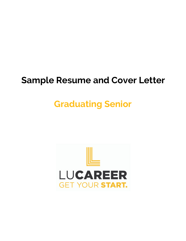## **Sample Resume and Cover Letter**

# **Graduating Senior**

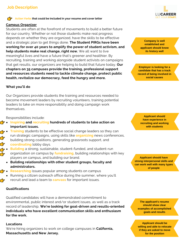### **Job Description**

### **Action Verbs that could be included in your resume and cover letter**

### **Campus Organizer**

Students are often at the forefront of movements to build a better future for our country. Whether or not those students make real progress depends on whether they are organized, have the skills to be effective and a strategic plan to get things done. **The Student PIRGs have been working for over 40 years to amplify the power of student activism, and help students make real change, right now.** We all want to live meaningful lives and have a future that's greener and healthier. By recruiting, training and working alongside student activists on campaigns that get results, our organizers are helping to build that future today. **Our chapters on 35 campuses provide the training, professional support and resources students need to tackle climate change, protect public health, revitalize our democracy, feed the hungry and more.**

### **What you'll do**

Our Organizers provide students the training and resources needed to become movement leaders by recruiting volunteers, training potential leaders to take on more responsibility and doing campaign work themselves.

Responsibilities include:

- **Inspiring and recruiting hundreds of students to take action on important issues.**
- **Training** students to be effective social change leaders so they can run strategic campaigns, using skills like **organizing** news conferences, building strong coalitions, generating grassroots support, and **coordinating** lobby days.
- **Building** a strong, sustainable, student-funded, and student-run organization on campus by **fundraising**, building relationships with key players on campus, and building our brand.
	- **Building relationships with other student groups, faculty and administrators.**
- **Researching** issues popular among students on campus
- Running a citizen outreach office during the summer, where you'll recruit and lead a team to **canvass** for important issues.

### **Qualifications**

Qualified candidates will have a demonstrated commitment to environmental, public interest and/or student issues, as well as a track record of leadership. **We're looking for goal-driven and results-oriented individuals who have excellent communication skills and enthusiasm for the work.**

### **Locations**

We're hiring organizers to work on college campuses in **California, Massachusetts and New Jersey.**



**Company is well established and applicant should know its history well**

**Employer is looking for a candidate that has a track record of being involved in social causes**

**Applicant should have experience in recruiting and working with students**

**Applicant should have strong interpersonal skills and can work well with many types of people**

**The applicant's resume should show clear examples of accomplished goals and results**

**Applicant should be willing and able to relocate if they are asked to move for the position**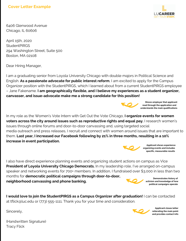

6406 Glenwood Avenue Chicago, IL 60606

April 15th, 2020 **StudentPIRGS** 294 Washington Street, Suite 500 Boston, MA 02108

Dear Hiring Manager,

I am a graduating senior from Loyola University Chicago with double majors in Political Science and English. **As a passionate advocate for public interest reform**, I am excited to apply for the Campus Organizer position with the StudentPIRGS, which I learned about from a current StudentPIRGS employee – Jane Fakename. **I am geographically flexible, and I believe my experiences as a student organizer, canvasser, and issue-advocate make me a strong candidate for this position!**



**Shows employer that applicant read through the application and understands the main qualifications**

In my role as the Women's Vote Intern with Get Out the Vote Chicago, **I organize events for women voters across the city around issues such as reproductive rights and equal pay.** I research women's issues through online forums and door-to-door canvassing and, using targeted social media outreach and press releases, I recruit and connect with women around issues that are important to them. **Last year, I increased our Facebook following by 21% in three months, resulting in a 10% increase in event participation.**



**Applicant shows experience organizing events and includes specific, measurable results**

I also have direct experience planning events and organizing student actions on campus as Vice **President of Loyola University Chicago Democrats.** In my leadership role, I've arranged on-campus speaker and networking events for 700+ members. In addition, I fundraised over \$3,000 in less than two months for **democratic political campaigns through door-to-door, neighborhood canvassing and phone banking. Demonstrates history of**



**activism and knowledge of how political campaigns operate**

**I would love to join the StudentPIRGS as a Campus Organizer after graduation!** I can be contacted at tflick@luc.edu or (773) 555-1111. Thank you for your time and consideration.

Sincerely,



**Applicant closes letter reiterating the main point and provides contact info**

(Handwritten Signature) Tracy Flick